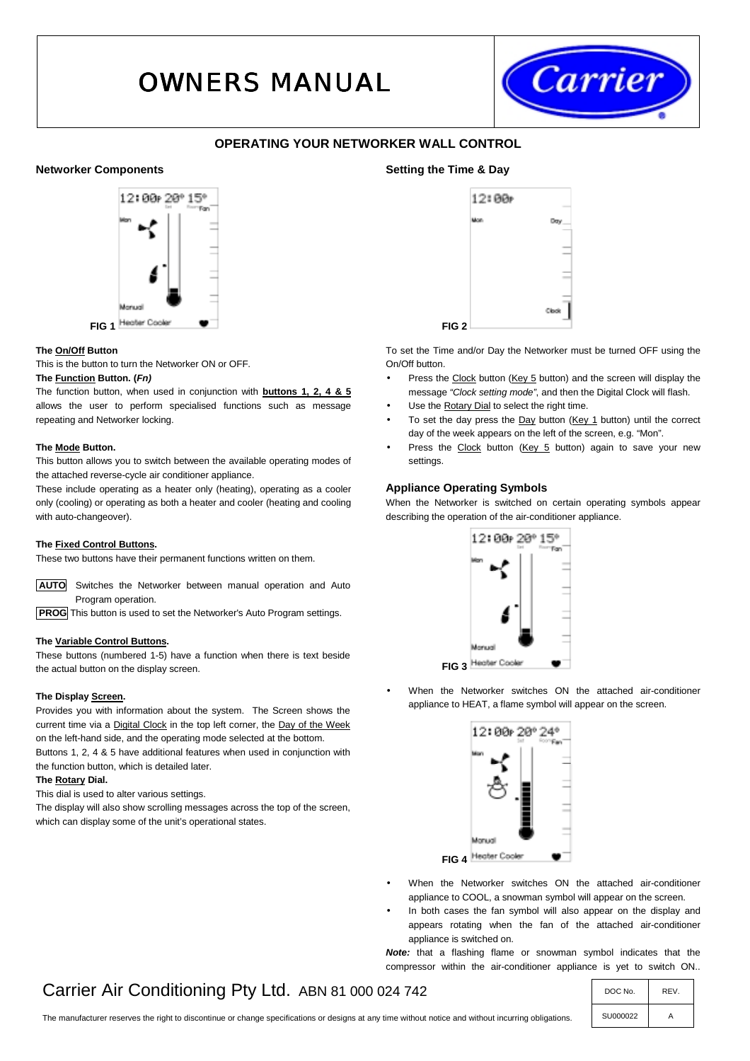# OWNERS MANUAL



# **OPERATING YOUR NETWORKER WALL CONTROL**

# **Networker Components**



### **The On/Off Button**

This is the button to turn the Networker ON or OFF.

# **The Function Button. (***Fn)*

The function button, when used in conjunction with **buttons 1, 2, 4 & 5** allows the user to perform specialised functions such as message repeating and Networker locking.

#### **The Mode Button.**

This button allows you to switch between the available operating modes of the attached reverse-cycle air conditioner appliance.

These include operating as a heater only (heating), operating as a cooler only (cooling) or operating as both a heater and cooler (heating and cooling with auto-changeover).

# **The Fixed Control Buttons.**

These two buttons have their permanent functions written on them.

 **AUTO** Switches the Networker between manual operation and Auto Program operation.

**PROG** This button is used to set the Networker's Auto Program settings.

### **The Variable Control Buttons.**

These buttons (numbered 1-5) have a function when there is text beside the actual button on the display screen.

# **The Display Screen.**

Provides you with information about the system. The Screen shows the current time via a Digital Clock in the top left corner, the Day of the Week on the left-hand side, and the operating mode selected at the bottom. Buttons 1, 2, 4 & 5 have additional features when used in conjunction with the function button, which is detailed later.

#### **The Rotary Dial.**

This dial is used to alter various settings.

The display will also show scrolling messages across the top of the screen, which can display some of the unit's operational states.



To set the Time and/or Day the Networker must be turned OFF using the On/Off button.

- Press the Clock button (Key 5 button) and the screen will display the message *"Clock setting mode"*, and then the Digital Clock will flash.
- Use the **Rotary Dial** to select the right time.
- To set the day press the Day button (Key 1 button) until the correct day of the week appears on the left of the screen, e.g. "Mon".
- Press the Clock button (Key 5 button) again to save your new settings.

# **Appliance Operating Symbols**

**Setting the Time & Day** 

When the Networker is switched on certain operating symbols appear describing the operation of the air-conditioner appliance.



• When the Networker switches ON the attached air-conditioner appliance to HEAT, a flame symbol will appear on the screen.



- When the Networker switches ON the attached air-conditioner appliance to COOL, a snowman symbol will appear on the screen.
- In both cases the fan symbol will also appear on the display and appears rotating when the fan of the attached air-conditioner appliance is switched on.

*Note:* that a flashing flame or snowman symbol indicates that the compressor within the air-conditioner appliance is yet to switch ON..

# Carrier Air Conditioning Pty Ltd. ABN 81 000 024 742  $\vert$  DOC No.  $\vert$  REV.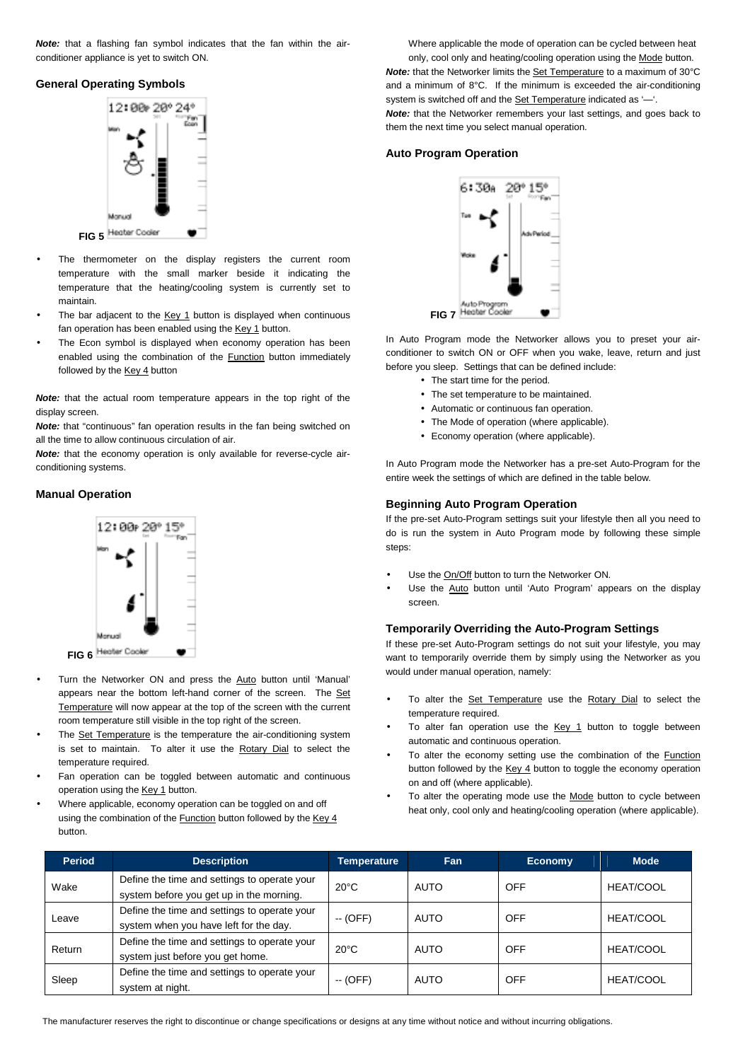*Note:* that a flashing fan symbol indicates that the fan within the airconditioner appliance is yet to switch ON.

### **General Operating Symbols**



- The thermometer on the display registers the current room temperature with the small marker beside it indicating the temperature that the heating/cooling system is currently set to maintain.
- The bar adjacent to the Key 1 button is displayed when continuous fan operation has been enabled using the Key 1 button.
- The Econ symbol is displayed when economy operation has been enabled using the combination of the **Function** button immediately followed by the Key 4 button

*Note:* that the actual room temperature appears in the top right of the display screen.

**Note:** that "continuous" fan operation results in the fan being switched on all the time to allow continuous circulation of air.

*Note:* that the economy operation is only available for reverse-cycle airconditioning systems.

#### **Manual Operation**



- Turn the Networker ON and press the Auto button until 'Manual' appears near the bottom left-hand corner of the screen. The Set Temperature will now appear at the top of the screen with the current room temperature still visible in the top right of the screen.
- The Set Temperature is the temperature the air-conditioning system is set to maintain. To alter it use the Rotary Dial to select the temperature required.
- Fan operation can be toggled between automatic and continuous operation using the Key 1 button.
- Where applicable, economy operation can be toggled on and off using the combination of the **Function** button followed by the Key 4 button.

Where applicable the mode of operation can be cycled between heat

only, cool only and heating/cooling operation using the Mode button. *Note:* that the Networker limits the **Set Temperature** to a maximum of 30°C and a minimum of 8°C. If the minimum is exceeded the air-conditioning system is switched off and the Set Temperature indicated as '—'. *Note:* that the Networker remembers your last settings, and goes back to

them the next time you select manual operation.

### **Auto Program Operation**



In Auto Program mode the Networker allows you to preset your airconditioner to switch ON or OFF when you wake, leave, return and just before you sleep. Settings that can be defined include:

- The start time for the period.
- The set temperature to be maintained.
- Automatic or continuous fan operation.
- The Mode of operation (where applicable).
- Economy operation (where applicable).

In Auto Program mode the Networker has a pre-set Auto-Program for the entire week the settings of which are defined in the table below.

# **Beginning Auto Program Operation**

If the pre-set Auto-Program settings suit your lifestyle then all you need to do is run the system in Auto Program mode by following these simple steps:

- Use the On/Off button to turn the Networker ON.
- Use the Auto button until 'Auto Program' appears on the display screen.

# **Temporarily Overriding the Auto-Program Settings**

If these pre-set Auto-Program settings do not suit your lifestyle, you may want to temporarily override them by simply using the Networker as you would under manual operation, namely:

- To alter the Set Temperature use the Rotary Dial to select the temperature required.
- To alter fan operation use the  $Key 1$  button to toggle between automatic and continuous operation.
- To alter the economy setting use the combination of the **Function** button followed by the Key 4 button to toggle the economy operation on and off (where applicable).
- To alter the operating mode use the Mode button to cycle between heat only, cool only and heating/cooling operation (where applicable).

| <b>Period</b> | <b>Description</b>                           | <b>Temperature</b> | Fan         | <b>Economy</b> | <b>Mode</b>      |
|---------------|----------------------------------------------|--------------------|-------------|----------------|------------------|
| Wake          | Define the time and settings to operate your | $20^{\circ}$ C     | <b>AUTO</b> | OFF            | <b>HEAT/COOL</b> |
|               | system before you get up in the morning.     |                    |             |                |                  |
| Leave         | Define the time and settings to operate your | $-$ (OFF)          | AUTO        | OFF            | <b>HEAT/COOL</b> |
|               | system when you have left for the day.       |                    |             |                |                  |
| Return        | Define the time and settings to operate your | $20^{\circ}$ C     | AUTO        | OFF            | <b>HEAT/COOL</b> |
|               | system just before you get home.             |                    |             |                |                  |
| Sleep         | Define the time and settings to operate your | $-$ (OFF)          | AUTO        | OFF            | <b>HEAT/COOL</b> |
|               | system at night.                             |                    |             |                |                  |

The manufacturer reserves the right to discontinue or change specifications or designs at any time without notice and without incurring obligations.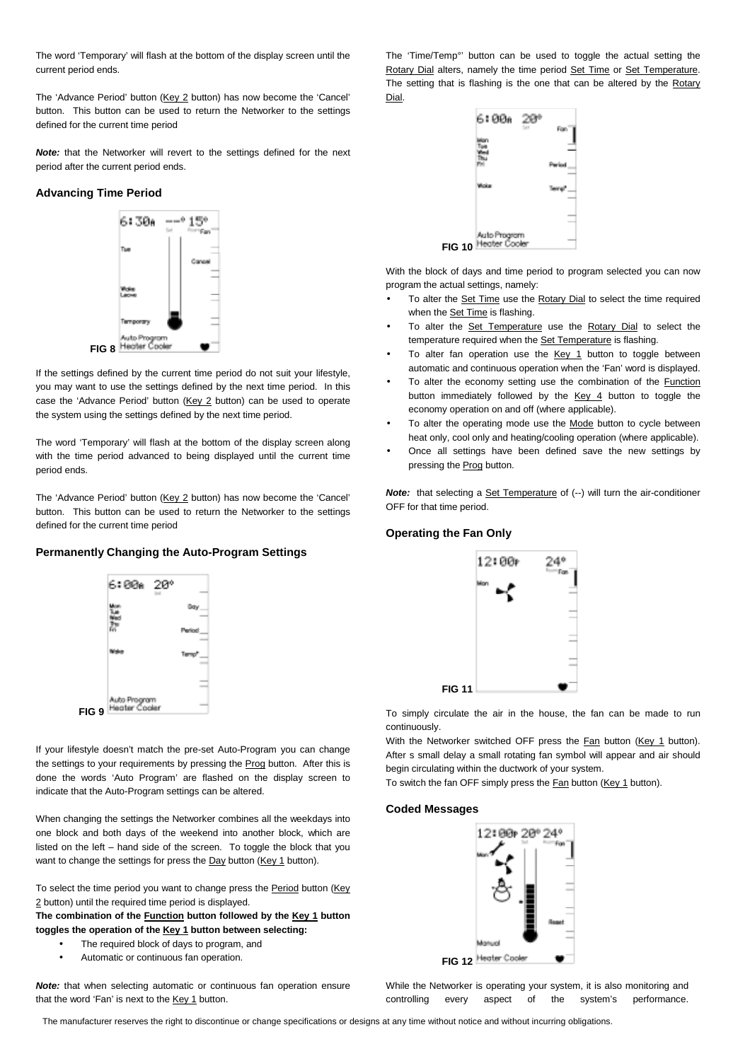The word 'Temporary' will flash at the bottom of the display screen until the current period ends.

The 'Advance Period' button (Key 2 button) has now become the 'Cancel' button. This button can be used to return the Networker to the settings defined for the current time period

*Note:* that the Networker will revert to the settings defined for the next period after the current period ends.

### **Advancing Time Period**



If the settings defined by the current time period do not suit your lifestyle, you may want to use the settings defined by the next time period. In this case the 'Advance Period' button (Key 2 button) can be used to operate the system using the settings defined by the next time period.

The word 'Temporary' will flash at the bottom of the display screen along with the time period advanced to being displayed until the current time period ends.

The 'Advance Period' button (Key 2 button) has now become the 'Cancel' button. This button can be used to return the Networker to the settings defined for the current time period

# **Permanently Changing the Auto-Program Settings**



If your lifestyle doesn't match the pre-set Auto-Program you can change the settings to your requirements by pressing the Prog button. After this is done the words 'Auto Program' are flashed on the display screen to indicate that the Auto-Program settings can be altered.

When changing the settings the Networker combines all the weekdays into one block and both days of the weekend into another block, which are listed on the left – hand side of the screen. To toggle the block that you want to change the settings for press the Day button (Key 1 button).

To select the time period you want to change press the Period button (Key 2 button) until the required time period is displayed.

**The combination of the Function button followed by the Key 1 button toggles the operation of the Key 1 button between selecting:** 

- The required block of days to program, and
- Automatic or continuous fan operation.

*Note:* that when selecting automatic or continuous fan operation ensure that the word 'Fan' is next to the Key 1 button.

The 'Time/Temp°' button can be used to toggle the actual setting the Rotary Dial alters, namely the time period Set Time or Set Temperature. The setting that is flashing is the one that can be altered by the Rotary Dial.



With the block of days and time period to program selected you can now program the actual settings, namely:

- To alter the Set Time use the Rotary Dial to select the time required when the Set Time is flashing.
- To alter the Set Temperature use the Rotary Dial to select the temperature required when the Set Temperature is flashing.
- To alter fan operation use the Key 1 button to toggle between automatic and continuous operation when the 'Fan' word is displayed.
- To alter the economy setting use the combination of the Function button immediately followed by the Key 4 button to toggle the economy operation on and off (where applicable).
- To alter the operating mode use the Mode button to cycle between heat only, cool only and heating/cooling operation (where applicable).
- Once all settings have been defined save the new settings by pressing the Prog button.

*Note:* that selecting a **Set Temperature** of (--) will turn the air-conditioner OFF for that time period.

# **Operating the Fan Only**



To simply circulate the air in the house, the fan can be made to run continuously.

With the Networker switched OFF press the **Fan button** (Key 1 button). After s small delay a small rotating fan symbol will appear and air should begin circulating within the ductwork of your system.

To switch the fan OFF simply press the Fan button (Key 1 button).

#### **Coded Messages**



While the Networker is operating your system, it is also monitoring and controlling every aspect of the system's performance.

The manufacturer reserves the right to discontinue or change specifications or designs at any time without notice and without incurring obligations.